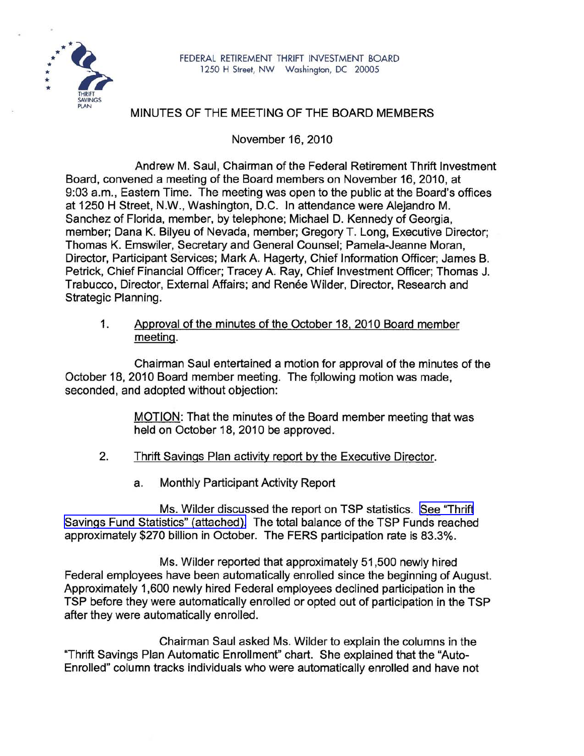

## MINUTES OF THE MEETING OF THE BOARD MEMBERS

November 16, 2010

Andrew M. Saul, Chairman of the Federal Retirement Thrift Investment Board, convened a meeting of the Board members on November 16,2010, at 9:03 a.m., Eastern Time. The meeting was open to the public at the Board's offices at 1250 H Street, N.W., Washington, D.C. In attendance were Alejandro M. Sanchez of Florida, member, by telephone; Michael D. Kennedy of Georgia, member; Dana K. Bilyeu of Nevada, member; Gregory T. Long, Executive Director; Thomas K. Emswiler, Secretary and General Counsel; Pamela-Jeanne Moran, Director, Participant Services; Mark A. Hagerty, Chief Information Officer; James B. Petrick, Chief Financial Officer; Tracey A. Ray, Chief Investment Officer; Thomas J. Trabucco, Director, External Affairs; and Renée Wilder, Director, Research and Strategic Planning.

1. Approval of the minutes of the October 18, 2010 Board member meeting.

Chairman Saul entertained a motion for approval of the minutes of the October 18, 2010 Board member meeting. The following motion was made, seconded, and adopted without objection:

> MOTION: That the minutes of the Board member meeting that was held on October 18, 2010 be approved.

- 2. Thrift Savings Plan activity report by the Executive Director.
	- a. Monthly Participant Activity Report

Ms. Wilder discussed the report on TSP statistics. See ["Thrift](http://www.frtib.gov/pdf/minutes/MM-2010Nov-Att1.pdf) Savings Fund Statistics" [\(attached\).](http://www.frtib.gov/pdf/minutes/MM-2010Nov-Att1.pdf) The total balance of the TSP Funds reached approximately \$270 billion in October. The FERS participation rate is 83.3%.

Ms. Wilder reported that approximately 51,500 newly hired Federal employees have been automatically enrolled since the beginning of August. Approximately 1,600 newly hired Federal employees declined participation in the TSP before they were automatically enrolled or opted out of participation in the TSP after they were automatically enrolled.

Chairman Saul asked Ms. Wilder to explain the columns in the "Thrift Savings Plan Automatic Enrollment" chart. She explained that the "Auto-Enrolled" column tracks individuals who were automatically enrolled and have not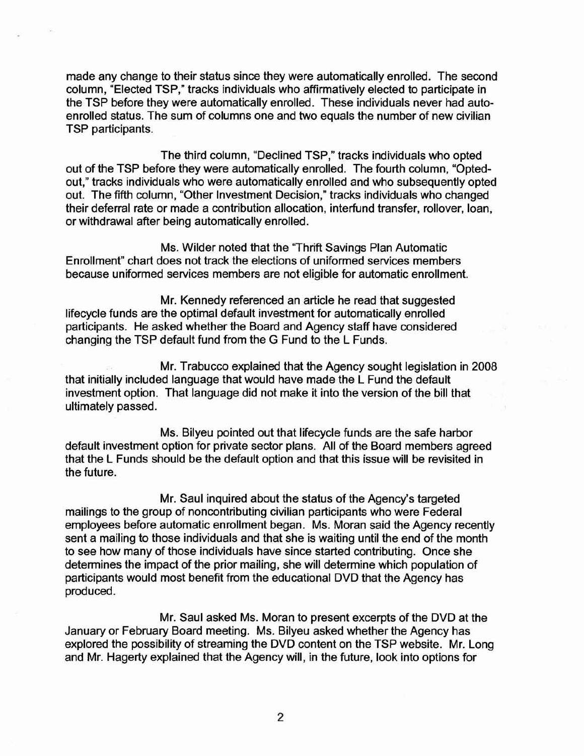made any change to their status since they were automatically enrolled. The second column, "Elected TSP," tracks individuals who affirmatively elected to participate in the TSP before they were automatically enrolled. These individuals never had autoenrolled status. The sum of columns one and two equals the number of new civilian TSP participants.

The third column, "Declined TSP," tracks individuals who opted out of the TSP before they were automatically enrolled. The fourth column, "Optedout," tracks individuals who were automatically enrolled and who subsequently opted out. The fifth column, "Other Investment Decision," tracks individuals who changed their deferral rate or made a contribution allocation, interfund transfer, rollover, loan, or withdrawal after being automatically enrolled.

Ms. Wilder noted that the ''Thrift Savings Plan Automatic Enrollment" chart does not track the elections of uniformed services members because uniformed services members are not eligible for automatic enrollment.

Mr. Kennedy referenced an article he read that suggested lifecycle funds are the optimal default investment for automatically enrolled participants. He asked whether the Board and Agency staff have considered changing the TSP default fund from the G Fund to the L Funds.

Mr. Trabucco explained that the Agency sought legislation in 2008 that initially included language that would have made the L Fund the default investment option. That language did not make it into the version of the bill that ultimately passed.

Ms. Bilyeu pointed out that lifecycle funds are the safe harbor default investment option for private sector plans. All of the Board members agreed that the L Funds should be the default option and that this issue will be revisited in the future.

Mr. Saul inquired about the status of the Agency's targeted mailings to the group of noncontributing civilian participants who were Federal employees before automatic enrollment began. Ms. Moran said the Agency recently sent a mailing to those individuals and that she is waiting until the end of the month to see how many of those individuals have since started contributing. Once she determines the impact of the prior mailing, she will determine which population of participants would most benefit from the educational DVD that the Agency has produced.

Mr. Saul asked Ms. Moran to present excerpts of the DVD at the January or February Board meeting. Ms. Bilyeu asked whether the Agency has explored the possibility of streaming the DVD content on the TSP website. Mr. Long and Mr. Hagerty explained that the Agency will, in the future, look into options for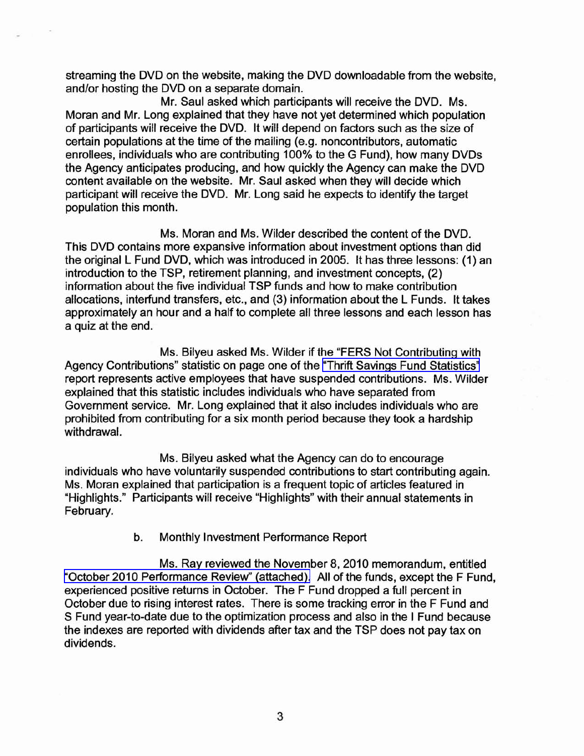streaming the DVD on the website, making the DVD downloadable from the website, and/or hosting the DVD on a separate domain.

Mr. Saul asked which participants will receive the DVD. Ms. Moran and Mr. Long explained that they have not yet determined which population of participants will receive the DVD. It will depend on factors such as the size of certain populations at the time of the mailing (e.g. noncontributors, automatic enrollees, individuals who are contributing 100% to the G Fund), how many DVDs the Agency anticipates producing, and how quickly the Agency can make the DVD content available on the website. Mr. Saul asked when they will decide which participant will receive the DVD. Mr. Long said he expects to identify the target population this month.

Ms. Moran and Ms. Wilder described the content of the DVD. This DVD contains more expansive information about investment options than did the original L Fund DVD, which was introduced in 2005. It has three lessons: (1) an introduction to the TSP, retirement planning, and investment concepts, (2) information about the five individual TSP funds and how to make contribution allocations, interfund transfers, etc., and (3) information about the L Funds. It takes approximately an hour and a half to complete all three lessons and each lesson has a quiz at the end.

Ms. Bilyeu asked Ms. Wilder if the "FERS Not Contributing with Agency Contributions" statistic on page one of the "Thrift Savings Fund [Statistics"](http://www.frtib.gov/pdf/minutes/MM-2010Nov-Att1.pdf) report represents active employees that have suspended contributions. Ms. Wilder explained that this statistic includes individuals who have separated from Government service. Mr. Long explained that it also includes individuals who are prohibited from contributing for a six month period because they took a hardship withdrawal.

Ms. Bilyeu asked what the Agency can do to encourage individuals who have voluntarily suspended contributions to start contributing again. Ms. Moran explained that participation is a frequent topic of articles featured in "Highlights." Participants will receive "Highlights" with their annual statements in February.

## b. Monthly Investment Performance Report

Ms. Ray reviewed the November 8, 2010 memorandum, entitled "October 2010 [Performance](http://www.frtib.gov/pdf/minutes/MM-2010Nov-Att2.pdf) Review" (attached). All of the funds, except the F Fund, experienced positive returns in October. The F Fund dropped a full percent in October due to rising interest rates. There is some tracking error in the F Fund and S Fund year-to-date due to the optimization process and also in the I Fund because the indexes are reported with dividends after tax and the TSP does not pay tax on dividends.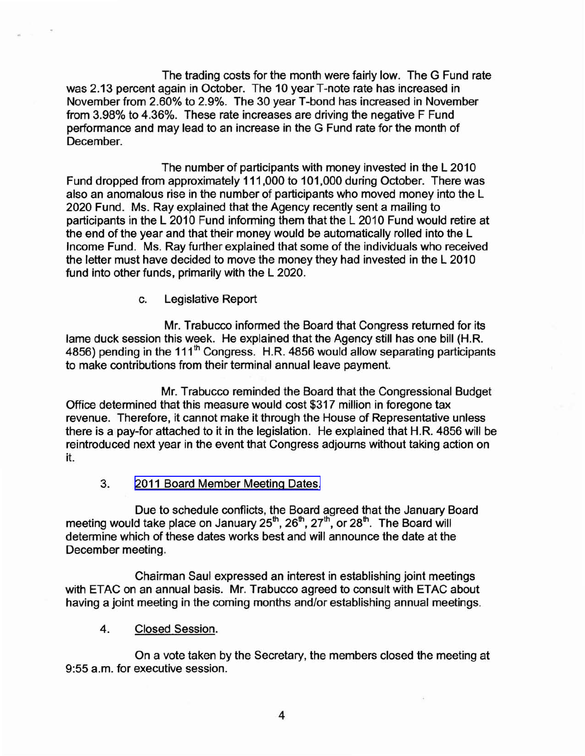The trading costs for the month were fairly low. The G Fund rate was 2.13 percent again in October. The 10 yearT-note rate has increased in November from 2.60% to 2.9%. The 30 year T-bond has increased in November from 3.98% to 4.36%. These rate increases are driving the negative F Fund performance and may lead to an increase in the G Fund rate for the month of December.

The number of participants with money invested in the L 2010 Fund dropped from approximately 111,000 to 101,000 during October. There was also an anomalous rise in the number of participants who moved money into the L 2020 Fund. Ms. Ray explained that the Agency recently sent a mailing to participants in the L 2010 Fund informing them that the L 2010 Fund would retire at the end of the year and that their money would be automatically rolled into the L Income Fund. Ms. Ray further explained that some of the individuals who received the letter must have decided to move the money they had invested in the L 2010 fund into other funds, primarily with the L 2020.

c. Legislative Report

Mr. Trabucco informed the Board that Congress returned for its lame duck session this week. He explained that the Agency still has one bill (H.R. 4856) pending in the 111<sup>th</sup> Congress. H.R. 4856 would allow separating participants to make contributions from their terminal annual leave payment.

Mr. Trabucco reminded the Board that the Congressional Budget Office determined that this measure would cost \$317 million in foregone tax revenue. Therefore, it cannot make it through the House of Representative unless there is a pay-for attached to it in the legislation. He explained that H.R. 4856 will be reintroduced next year in the event that Congress adjourns without taking action on it.

3. 2011 Board [Member](http://www.frtib.gov/pdf/minutes/MM-2010Nov-Att3.pdf) Meeting Dates.

Due to schedule conflicts, the Board agreed that the January Board meeting would take place on January  $25<sup>th</sup>$ ,  $26<sup>th</sup>$ ,  $27<sup>th</sup>$ , or  $28<sup>th</sup>$ . The Board will determine which of these dates works best and will announce the date at the December meeting.

Chairman Saul expressed an interest in establishing joint meetings with ETAC on an annual basis. Mr. Trabucco agreed to consult with ETAC about having a joint meeting in the coming months and/or establishing annual meetings.

4. Closed Session.

On a vote taken by the Secretary, the members closed the meeting at 9:55 a.m. for executive session.